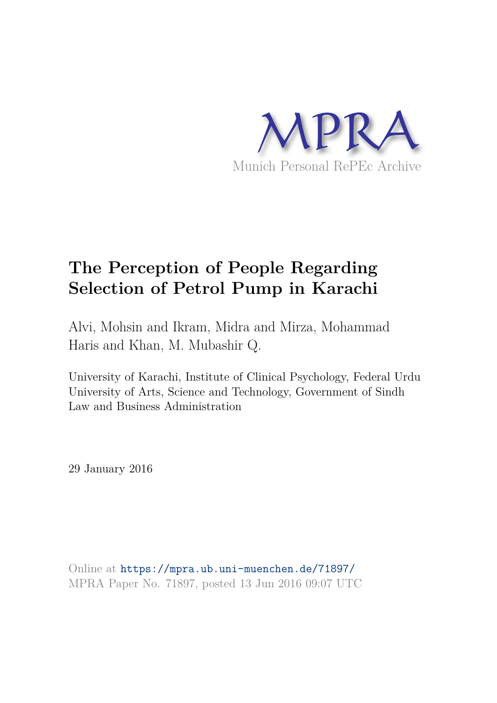

# **The Perception of People Regarding Selection of Petrol Pump in Karachi**

Alvi, Mohsin and Ikram, Midra and Mirza, Mohammad Haris and Khan, M. Mubashir Q.

University of Karachi, Institute of Clinical Psychology, Federal Urdu University of Arts, Science and Technology, Government of Sindh Law and Business Administration

29 January 2016

Online at https://mpra.ub.uni-muenchen.de/71897/ MPRA Paper No. 71897, posted 13 Jun 2016 09:07 UTC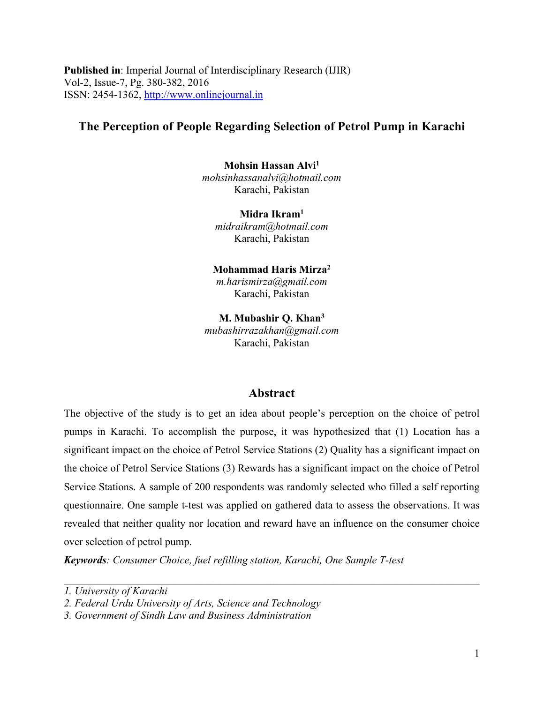**Published in**: Imperial Journal of Interdisciplinary Research (IJIR) Vol-2, Issue-7, Pg. 380-382, 2016 ISSN: 2454-1362, http://www.onlinejournal.in

## **The Perception of People Regarding Selection of Petrol Pump in Karachi**

**Mohsin Hassan Alvi<sup>1</sup>** *mohsinhassanalvi@hotmail.com* Karachi, Pakistan

**Midra Ikram<sup>1</sup>** *midraikram@hotmail.com* Karachi, Pakistan

**Mohammad Haris Mirza<sup>2</sup>**

*m.harismirza@gmail.com* Karachi, Pakistan

**M. Mubashir Q. Khan<sup>3</sup>** *mubashirrazakhan@gmail.com* Karachi, Pakistan

### **Abstract**

The objective of the study is to get an idea about people's perception on the choice of petrol pumps in Karachi. To accomplish the purpose, it was hypothesized that (1) Location has a significant impact on the choice of Petrol Service Stations (2) Quality has a significant impact on the choice of Petrol Service Stations (3) Rewards has a significant impact on the choice of Petrol Service Stations. A sample of 200 respondents was randomly selected who filled a self reporting questionnaire. One sample t-test was applied on gathered data to assess the observations. It was revealed that neither quality nor location and reward have an influence on the consumer choice over selection of petrol pump.

*\_\_\_\_\_\_\_\_\_\_\_\_\_\_\_\_\_\_\_\_\_\_\_\_\_\_\_\_\_\_\_\_\_\_\_\_\_\_\_\_\_\_\_\_\_\_\_\_\_\_\_\_\_\_\_\_\_\_\_\_\_\_\_\_\_\_\_\_\_\_\_\_\_\_\_\_\_\_*

*Keywords: Consumer Choice, fuel refilling station, Karachi, One Sample T-test*

*<sup>1.</sup> University of Karachi*

*<sup>2.</sup> Federal Urdu University of Arts, Science and Technology*

*<sup>3.</sup> Government of Sindh Law and Business Administration*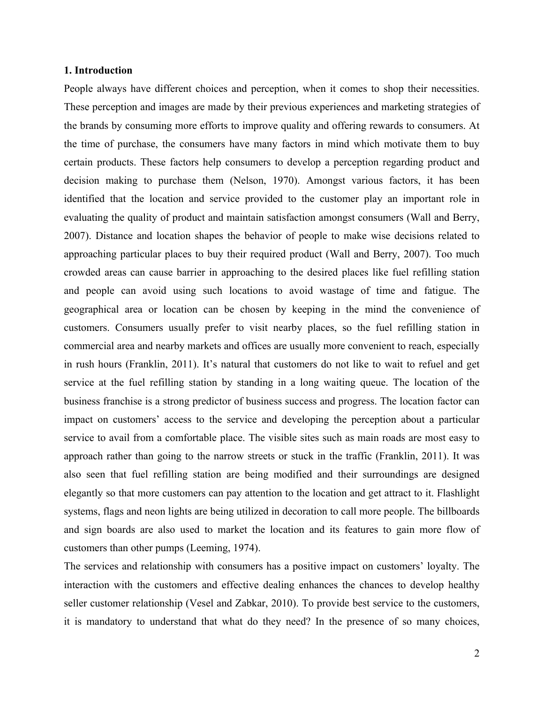#### **1. Introduction**

People always have different choices and perception, when it comes to shop their necessities. These perception and images are made by their previous experiences and marketing strategies of the brands by consuming more efforts to improve quality and offering rewards to consumers. At the time of purchase, the consumers have many factors in mind which motivate them to buy certain products. These factors help consumers to develop a perception regarding product and decision making to purchase them (Nelson, 1970). Amongst various factors, it has been identified that the location and service provided to the customer play an important role in evaluating the quality of product and maintain satisfaction amongst consumers (Wall and Berry, 2007). Distance and location shapes the behavior of people to make wise decisions related to approaching particular places to buy their required product (Wall and Berry, 2007). Too much crowded areas can cause barrier in approaching to the desired places like fuel refilling station and people can avoid using such locations to avoid wastage of time and fatigue. The geographical area or location can be chosen by keeping in the mind the convenience of customers. Consumers usually prefer to visit nearby places, so the fuel refilling station in commercial area and nearby markets and offices are usually more convenient to reach, especially in rush hours (Franklin, 2011). It's natural that customers do not like to wait to refuel and get service at the fuel refilling station by standing in a long waiting queue. The location of the business franchise is a strong predictor of business success and progress. The location factor can impact on customers' access to the service and developing the perception about a particular service to avail from a comfortable place. The visible sites such as main roads are most easy to approach rather than going to the narrow streets or stuck in the traffic (Franklin, 2011). It was also seen that fuel refilling station are being modified and their surroundings are designed elegantly so that more customers can pay attention to the location and get attract to it. Flashlight systems, flags and neon lights are being utilized in decoration to call more people. The billboards and sign boards are also used to market the location and its features to gain more flow of customers than other pumps (Leeming, 1974).

The services and relationship with consumers has a positive impact on customers' loyalty. The interaction with the customers and effective dealing enhances the chances to develop healthy seller customer relationship (Vesel and Zabkar, 2010). To provide best service to the customers, it is mandatory to understand that what do they need? In the presence of so many choices,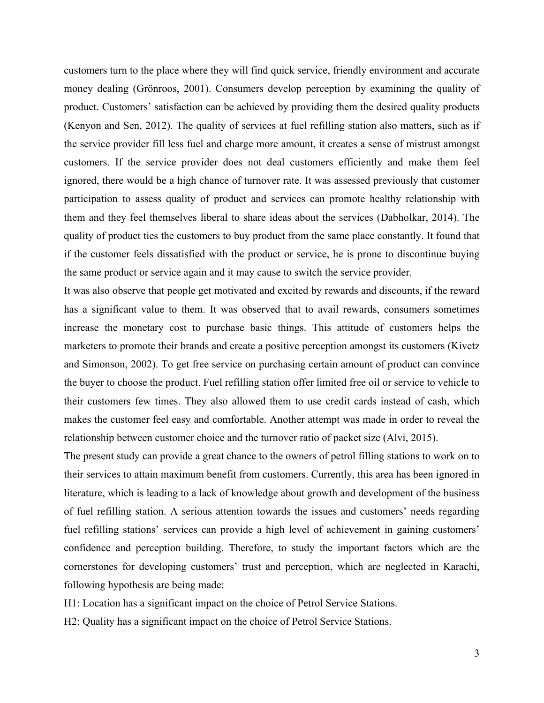customers turn to the place where they will find quick service, friendly environment and accurate money dealing (Grönroos, 2001). Consumers develop perception by examining the quality of product. Customers' satisfaction can be achieved by providing them the desired quality products (Kenyon and Sen, 2012). The quality of services at fuel refilling station also matters, such as if the service provider fill less fuel and charge more amount, it creates a sense of mistrust amongst customers. If the service provider does not deal customers efficiently and make them feel ignored, there would be a high chance of turnover rate. It was assessed previously that customer participation to assess quality of product and services can promote healthy relationship with them and they feel themselves liberal to share ideas about the services (Dabholkar, 2014). The quality of product ties the customers to buy product from the same place constantly. It found that if the customer feels dissatisfied with the product or service, he is prone to discontinue buying the same product or service again and it may cause to switch the service provider.

It was also observe that people get motivated and excited by rewards and discounts, if the reward has a significant value to them. It was observed that to avail rewards, consumers sometimes increase the monetary cost to purchase basic things. This attitude of customers helps the marketers to promote their brands and create a positive perception amongst its customers (Kivetz and Simonson, 2002). To get free service on purchasing certain amount of product can convince the buyer to choose the product. Fuel refilling station offer limited free oil or service to vehicle to their customers few times. They also allowed them to use credit cards instead of cash, which makes the customer feel easy and comfortable. Another attempt was made in order to reveal the relationship between customer choice and the turnover ratio of packet size (Alvi, 2015).

The present study can provide a great chance to the owners of petrol filling stations to work on to their services to attain maximum benefit from customers. Currently, this area has been ignored in literature, which is leading to a lack of knowledge about growth and development of the business of fuel refilling station. A serious attention towards the issues and customers' needs regarding fuel refilling stations' services can provide a high level of achievement in gaining customers' confidence and perception building. Therefore, to study the important factors which are the cornerstones for developing customers' trust and perception, which are neglected in Karachi, following hypothesis are being made:

H1: Location has a significant impact on the choice of Petrol Service Stations.

H2: Quality has a significant impact on the choice of Petrol Service Stations.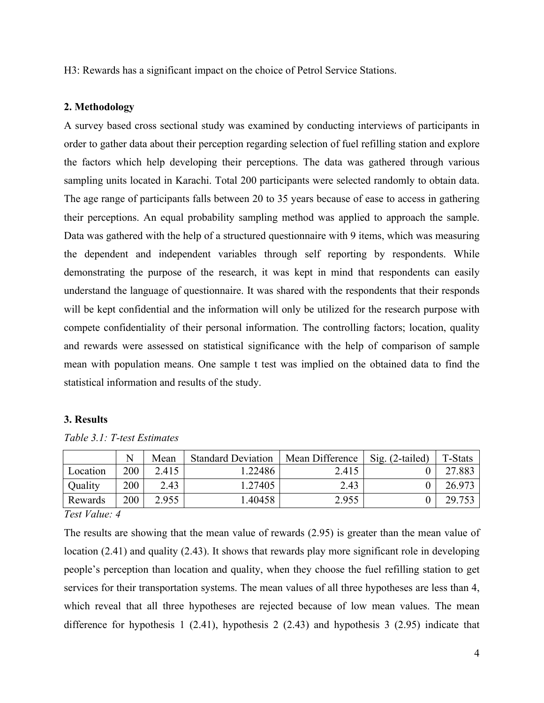H3: Rewards has a significant impact on the choice of Petrol Service Stations.

#### **2. Methodology**

A survey based cross sectional study was examined by conducting interviews of participants in order to gather data about their perception regarding selection of fuel refilling station and explore the factors which help developing their perceptions. The data was gathered through various sampling units located in Karachi. Total 200 participants were selected randomly to obtain data. The age range of participants falls between 20 to 35 years because of ease to access in gathering their perceptions. An equal probability sampling method was applied to approach the sample. Data was gathered with the help of a structured questionnaire with 9 items, which was measuring the dependent and independent variables through self reporting by respondents. While demonstrating the purpose of the research, it was kept in mind that respondents can easily understand the language of questionnaire. It was shared with the respondents that their responds will be kept confidential and the information will only be utilized for the research purpose with compete confidentiality of their personal information. The controlling factors; location, quality and rewards were assessed on statistical significance with the help of comparison of sample mean with population means. One sample t test was implied on the obtained data to find the statistical information and results of the study.

#### **3. Results**

|          |     | Mean  | <b>Standard Deviation</b> | Mean Difference | $Sig. (2-tailed)$ | T-Stats |
|----------|-----|-------|---------------------------|-----------------|-------------------|---------|
| Location | 200 | 2.415 | .22486                    | 2.415           |                   | 27.883  |
| Quality  | 200 | 2.43  | 1.27405                   | 2.43            |                   | 26.973  |
| Rewards  | 200 | 2.955 | .40458                    | 2.955           |                   | 29.753  |

*Table 3.1: T-test Estimates*

*Test Value: 4*

The results are showing that the mean value of rewards (2.95) is greater than the mean value of location (2.41) and quality (2.43). It shows that rewards play more significant role in developing people's perception than location and quality, when they choose the fuel refilling station to get services for their transportation systems. The mean values of all three hypotheses are less than 4, which reveal that all three hypotheses are rejected because of low mean values. The mean difference for hypothesis 1 (2.41), hypothesis 2 (2.43) and hypothesis 3 (2.95) indicate that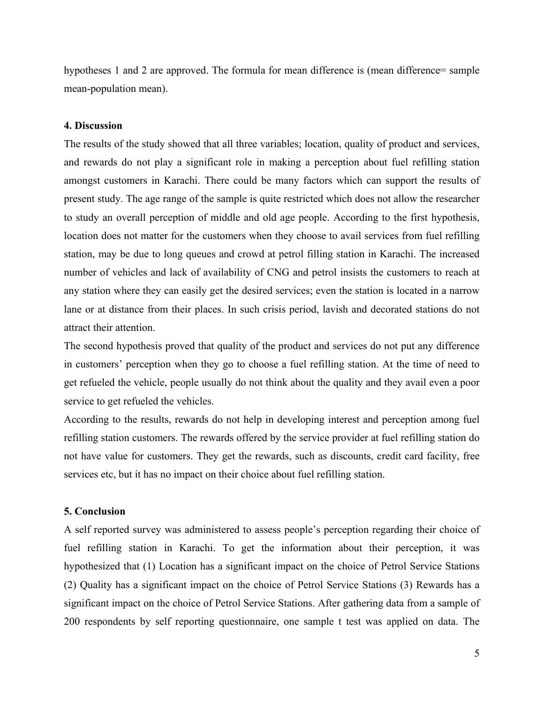hypotheses 1 and 2 are approved. The formula for mean difference is (mean difference= sample mean-population mean).

#### **4. Discussion**

The results of the study showed that all three variables; location, quality of product and services, and rewards do not play a significant role in making a perception about fuel refilling station amongst customers in Karachi. There could be many factors which can support the results of present study. The age range of the sample is quite restricted which does not allow the researcher to study an overall perception of middle and old age people. According to the first hypothesis, location does not matter for the customers when they choose to avail services from fuel refilling station, may be due to long queues and crowd at petrol filling station in Karachi. The increased number of vehicles and lack of availability of CNG and petrol insists the customers to reach at any station where they can easily get the desired services; even the station is located in a narrow lane or at distance from their places. In such crisis period, lavish and decorated stations do not attract their attention.

The second hypothesis proved that quality of the product and services do not put any difference in customers' perception when they go to choose a fuel refilling station. At the time of need to get refueled the vehicle, people usually do not think about the quality and they avail even a poor service to get refueled the vehicles.

According to the results, rewards do not help in developing interest and perception among fuel refilling station customers. The rewards offered by the service provider at fuel refilling station do not have value for customers. They get the rewards, such as discounts, credit card facility, free services etc, but it has no impact on their choice about fuel refilling station.

#### **5. Conclusion**

A self reported survey was administered to assess people's perception regarding their choice of fuel refilling station in Karachi. To get the information about their perception, it was hypothesized that (1) Location has a significant impact on the choice of Petrol Service Stations (2) Quality has a significant impact on the choice of Petrol Service Stations (3) Rewards has a significant impact on the choice of Petrol Service Stations. After gathering data from a sample of 200 respondents by self reporting questionnaire, one sample t test was applied on data. The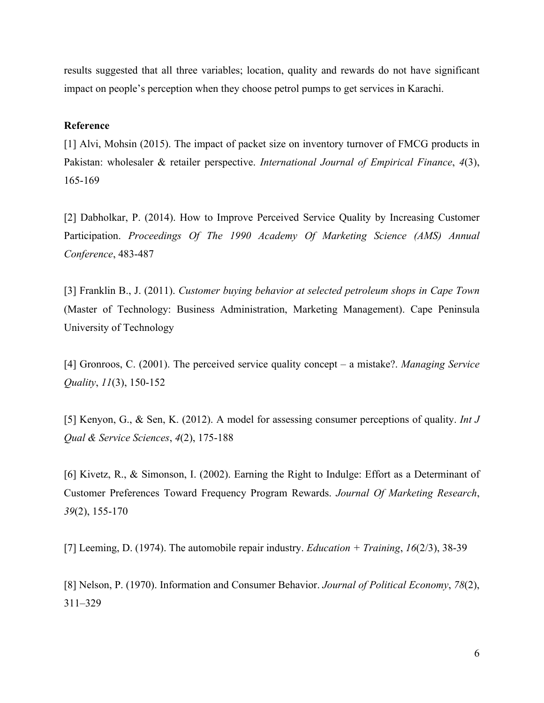results suggested that all three variables; location, quality and rewards do not have significant impact on people's perception when they choose petrol pumps to get services in Karachi.

#### **Reference**

[1] Alvi, Mohsin (2015). The impact of packet size on inventory turnover of FMCG products in Pakistan: wholesaler & retailer perspective. *International Journal of Empirical Finance*, *4*(3), 165-169

[2] Dabholkar, P. (2014). How to Improve Perceived Service Quality by Increasing Customer Participation. *Proceedings Of The 1990 Academy Of Marketing Science (AMS) Annual Conference*, 483-487

[3] Franklin B., J. (2011). *Customer buying behavior at selected petroleum shops in Cape Town* (Master of Technology: Business Administration, Marketing Management). Cape Peninsula University of Technology

[4] Gronroos, C. (2001). The perceived service quality concept – a mistake?. *Managing Service Quality*, *11*(3), 150-152

[5] Kenyon, G., & Sen, K. (2012). A model for assessing consumer perceptions of quality. *Int J Qual & Service Sciences*, *4*(2), 175-188

[6] Kivetz, R., & Simonson, I. (2002). Earning the Right to Indulge: Effort as a Determinant of Customer Preferences Toward Frequency Program Rewards. *Journal Of Marketing Research*, *39*(2), 155-170

[7] Leeming, D. (1974). The automobile repair industry. *Education + Training*, *16*(2/3), 38-39

[8] Nelson, P. (1970). Information and Consumer Behavior. *Journal of Political Economy*, *78*(2), 311–329